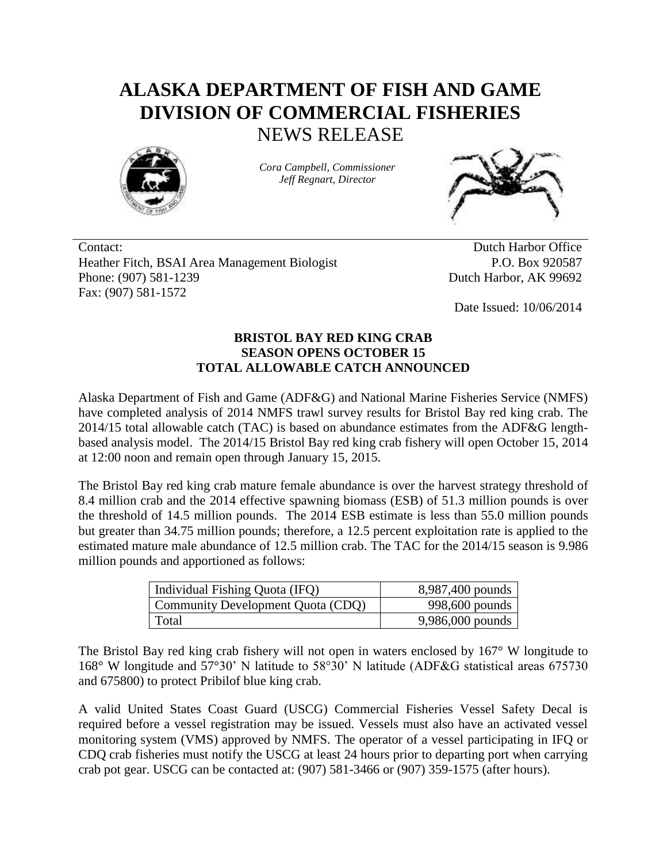## **ALASKA DEPARTMENT OF FISH AND GAME DIVISION OF COMMERCIAL FISHERIES** NEWS RELEASE



*Cora Campbell, Commissioner Jeff Regnart, Director*



Contact: Dutch Harbor Office Heather Fitch, BSAI Area Management Biologist Phone: (907) 581-1239 Fax: (907) 581-1572

P.O. Box 920587 Dutch Harbor, AK 99692

Date Issued: 10/06/2014

## **BRISTOL BAY RED KING CRAB SEASON OPENS OCTOBER 15 TOTAL ALLOWABLE CATCH ANNOUNCED**

Alaska Department of Fish and Game (ADF&G) and National Marine Fisheries Service (NMFS) have completed analysis of 2014 NMFS trawl survey results for Bristol Bay red king crab. The 2014/15 total allowable catch (TAC) is based on abundance estimates from the ADF&G lengthbased analysis model. The 2014/15 Bristol Bay red king crab fishery will open October 15, 2014 at 12:00 noon and remain open through January 15, 2015.

The Bristol Bay red king crab mature female abundance is over the harvest strategy threshold of 8.4 million crab and the 2014 effective spawning biomass (ESB) of 51.3 million pounds is over the threshold of 14.5 million pounds. The 2014 ESB estimate is less than 55.0 million pounds but greater than 34.75 million pounds; therefore, a 12.5 percent exploitation rate is applied to the estimated mature male abundance of 12.5 million crab. The TAC for the 2014/15 season is 9.986 million pounds and apportioned as follows:

| Individual Fishing Quota (IFQ)    | 8,987,400 pounds |
|-----------------------------------|------------------|
| Community Development Quota (CDQ) | 998,600 pounds   |
| Total                             | 9,986,000 pounds |

The Bristol Bay red king crab fishery will not open in waters enclosed by 167° W longitude to 168° W longitude and 57°30' N latitude to 58°30' N latitude (ADF&G statistical areas 675730 and 675800) to protect Pribilof blue king crab.

A valid United States Coast Guard (USCG) Commercial Fisheries Vessel Safety Decal is required before a vessel registration may be issued. Vessels must also have an activated vessel monitoring system (VMS) approved by NMFS. The operator of a vessel participating in IFQ or CDQ crab fisheries must notify the USCG at least 24 hours prior to departing port when carrying crab pot gear. USCG can be contacted at: (907) 581-3466 or (907) 359-1575 (after hours).